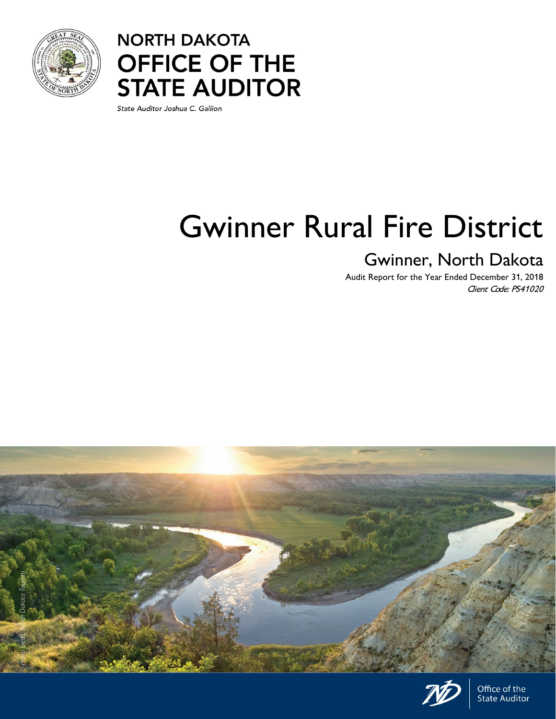



State Auditor Joshua C. Gallion

# Gwinner Rural Fire District

# Gwinner, North Dakota

Audit Report for the Year Ended December 31, 2018 Client Code: PS41020





Office of the **State Auditor**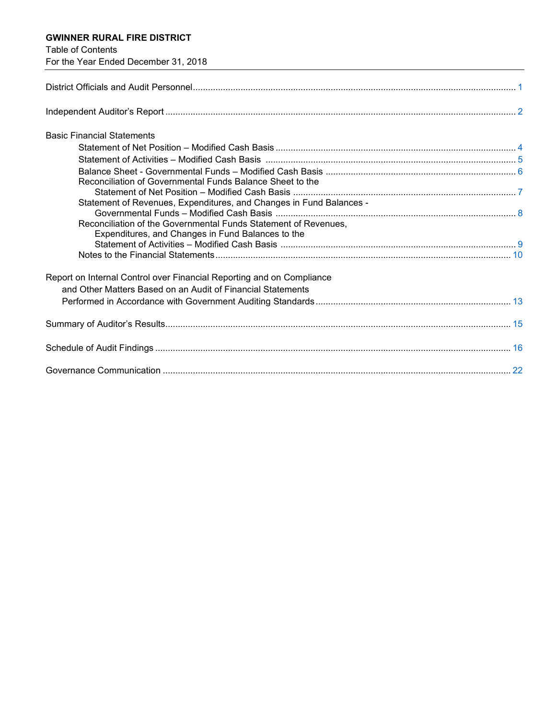# **GWINNER RURAL FIRE DISTRICT**

Table of Contents

| For the Year Ended December 31, 2018                                                                                 |  |
|----------------------------------------------------------------------------------------------------------------------|--|
|                                                                                                                      |  |
|                                                                                                                      |  |
| <b>Basic Financial Statements</b>                                                                                    |  |
|                                                                                                                      |  |
|                                                                                                                      |  |
| Reconciliation of Governmental Funds Balance Sheet to the                                                            |  |
|                                                                                                                      |  |
| Statement of Revenues, Expenditures, and Changes in Fund Balances -                                                  |  |
| Reconciliation of the Governmental Funds Statement of Revenues,<br>Expenditures, and Changes in Fund Balances to the |  |
|                                                                                                                      |  |
|                                                                                                                      |  |
| Report on Internal Control over Financial Reporting and on Compliance                                                |  |
| and Other Matters Based on an Audit of Financial Statements                                                          |  |
|                                                                                                                      |  |
|                                                                                                                      |  |
|                                                                                                                      |  |
|                                                                                                                      |  |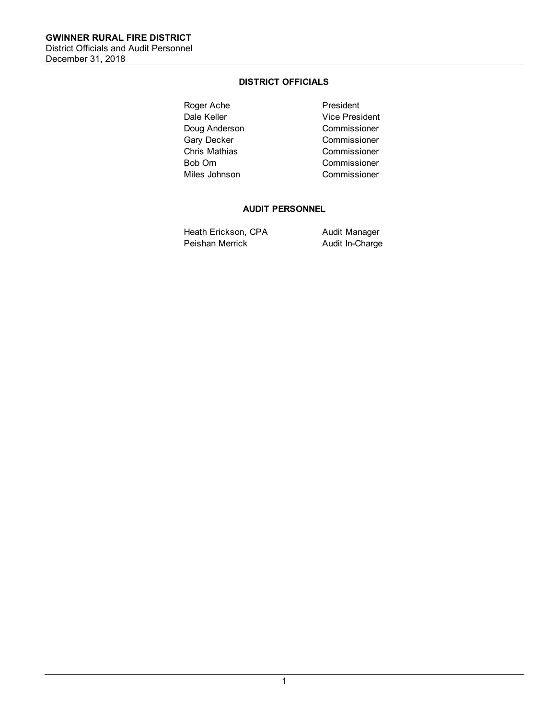# **DISTRICT OFFICIALS**

<span id="page-2-1"></span><span id="page-2-0"></span>Roger Ache **Roger Ache** President<br>Dale Keller **President** Vice Pres Doug Anderson Commissioner Gary Decker **Commissioner** Chris Mathias Commissioner Bob Orn Commissioner Miles Johnson Commissioner

Vice President

# **AUDIT PERSONNEL**

Heath Erickson, CPA Audit Manager Peishan Merrick **Audit In-Charge**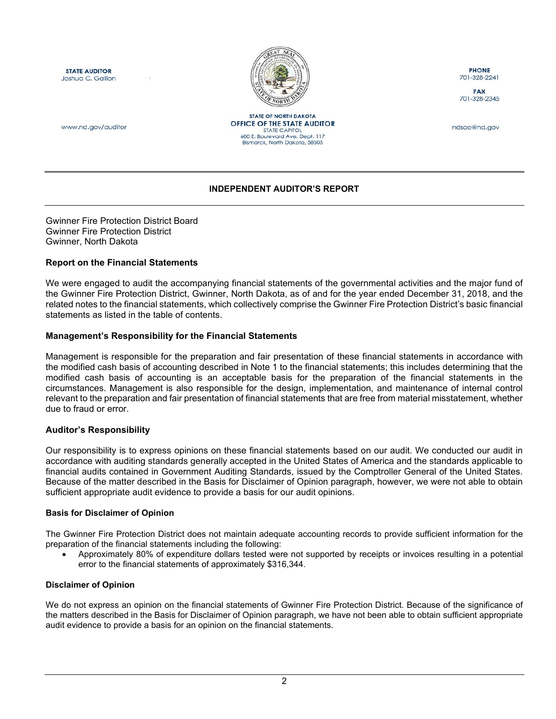<span id="page-3-1"></span>**STATE AUDITOR** Joshua C. Gallion



**STATE OF NORTH DAKOTA** OFFICE OF THE STATE AUDITOR

**STATE CAPITOL 600 E. Boulevard Ave. Dept. 117**<br>Bismarck, North Dakota, 58505

**PHONE** 701-328-2241

**FAX** 701-328-2345

ndsao@nd.gov

www.nd.gov/auditor

#### **INDEPENDENT AUDITOR'S REPORT**

<span id="page-3-0"></span>Gwinner Fire Protection District Board Gwinner Fire Protection District Gwinner, North Dakota

#### **Report on the Financial Statements**

We were engaged to audit the accompanying financial statements of the governmental activities and the major fund of the Gwinner Fire Protection District, Gwinner, North Dakota, as of and for the year ended December 31, 2018, and the related notes to the financial statements, which collectively comprise the Gwinner Fire Protection District's basic financial statements as listed in the table of contents.

#### **Management's Responsibility for the Financial Statements**

Management is responsible for the preparation and fair presentation of these financial statements in accordance with the modified cash basis of accounting described in Note 1 to the financial statements; this includes determining that the modified cash basis of accounting is an acceptable basis for the preparation of the financial statements in the circumstances. Management is also responsible for the design, implementation, and maintenance of internal control relevant to the preparation and fair presentation of financial statements that are free from material misstatement, whether due to fraud or error.

#### **Auditor's Responsibility**

Our responsibility is to express opinions on these financial statements based on our audit. We conducted our audit in accordance with auditing standards generally accepted in the United States of America and the standards applicable to financial audits contained in Government Auditing Standards, issued by the Comptroller General of the United States. Because of the matter described in the Basis for Disclaimer of Opinion paragraph, however, we were not able to obtain sufficient appropriate audit evidence to provide a basis for our audit opinions.

#### **Basis for Disclaimer of Opinion**

The Gwinner Fire Protection District does not maintain adequate accounting records to provide sufficient information for the preparation of the financial statements including the following:

• Approximately 80% of expenditure dollars tested were not supported by receipts or invoices resulting in a potential error to the financial statements of approximately \$316,344.

#### **Disclaimer of Opinion**

We do not express an opinion on the financial statements of Gwinner Fire Protection District. Because of the significance of the matters described in the Basis for Disclaimer of Opinion paragraph, we have not been able to obtain sufficient appropriate audit evidence to provide a basis for an opinion on the financial statements.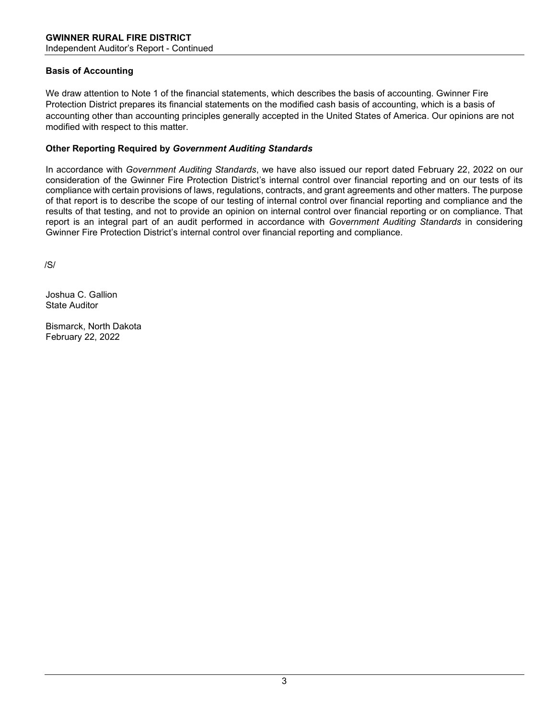# **Basis of Accounting**

We draw attention to Note 1 of the financial statements, which describes the basis of accounting. Gwinner Fire Protection District prepares its financial statements on the modified cash basis of accounting, which is a basis of accounting other than accounting principles generally accepted in the United States of America. Our opinions are not modified with respect to this matter.

# **Other Reporting Required by** *Government Auditing Standards*

In accordance with *Government Auditing Standards*, we have also issued our report dated February 22, 2022 on our consideration of the Gwinner Fire Protection District's internal control over financial reporting and on our tests of its compliance with certain provisions of laws, regulations, contracts, and grant agreements and other matters. The purpose of that report is to describe the scope of our testing of internal control over financial reporting and compliance and the results of that testing, and not to provide an opinion on internal control over financial reporting or on compliance. That report is an integral part of an audit performed in accordance with *Government Auditing Standards* in considering Gwinner Fire Protection District's internal control over financial reporting and compliance.

/S/

Joshua C. Gallion State Auditor

Bismarck, North Dakota February 22, 2022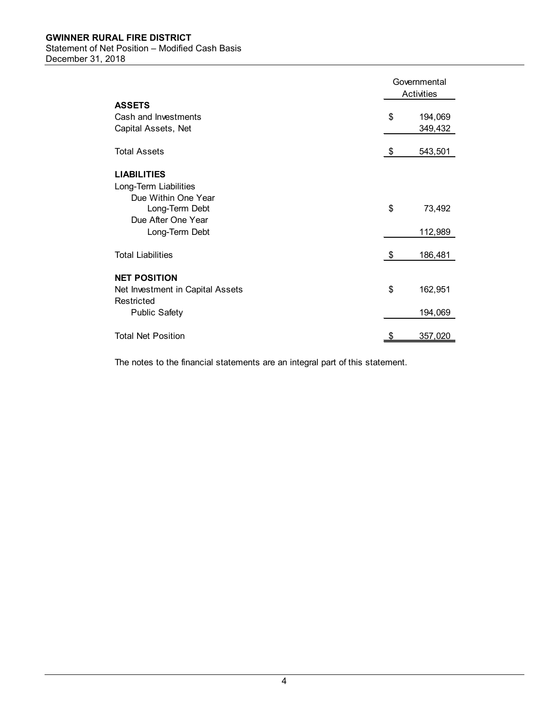<span id="page-5-1"></span><span id="page-5-0"></span>

|                                  |           | Governmental<br>Activities |
|----------------------------------|-----------|----------------------------|
| <b>ASSETS</b>                    |           |                            |
| Cash and Investments             | \$        | 194,069                    |
| Capital Assets, Net              |           | 349,432                    |
| <b>Total Assets</b>              | \$        | 543,501                    |
| <b>LIABILITIES</b>               |           |                            |
| Long-Term Liabilities            |           |                            |
| Due Within One Year              |           |                            |
| Long-Term Debt                   | \$        | 73,492                     |
| Due After One Year               |           |                            |
| Long-Term Debt                   |           | 112,989                    |
| <b>Total Liabilities</b>         | \$        | 186,481                    |
|                                  |           |                            |
| <b>NET POSITION</b>              |           |                            |
| Net Investment in Capital Assets | \$        | 162,951                    |
| Restricted                       |           |                            |
| <b>Public Safety</b>             |           | 194,069                    |
| <b>Total Net Position</b>        | <u>\$</u> | 357,020                    |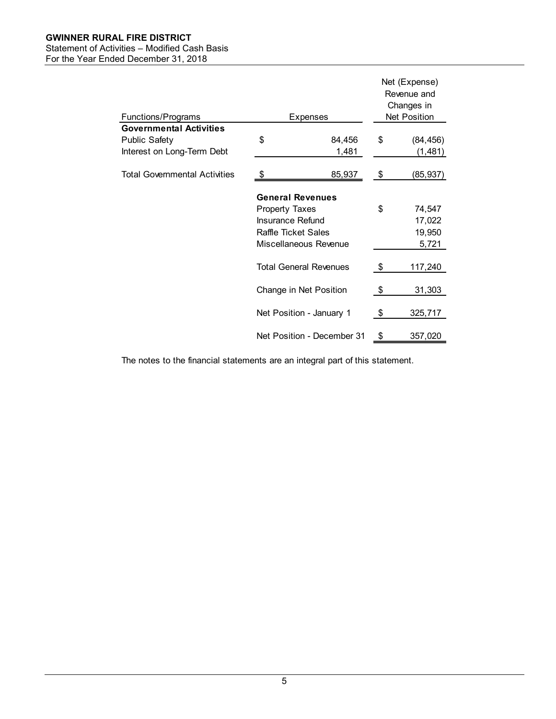# **GWINNER RURAL FIRE DISTRICT**

# <span id="page-6-0"></span>Statement of Activities – Modified Cash Basis

For the Year Ended December 31, 2018

|                                |                            |                               | Net (Expense)<br>Revenue and<br>Changes in |                     |  |
|--------------------------------|----------------------------|-------------------------------|--------------------------------------------|---------------------|--|
| <b>Functions/Programs</b>      |                            | Expenses                      |                                            | <b>Net Position</b> |  |
| <b>Governmental Activities</b> |                            |                               |                                            |                     |  |
| Public Safety                  | \$                         | 84,456                        | \$                                         | (84, 456)           |  |
| Interest on Long-Term Debt     |                            | 1,481                         |                                            | (1,481)             |  |
| Total Governmental Activities  | \$                         | 85,937                        | \$                                         | (85,937)            |  |
|                                | <b>General Revenues</b>    |                               |                                            |                     |  |
|                                | <b>Property Taxes</b>      |                               | \$                                         | 74,547              |  |
|                                | <b>Insurance Refund</b>    |                               |                                            | 17,022              |  |
|                                | <b>Raffle Ticket Sales</b> |                               |                                            | 19,950              |  |
|                                |                            | Miscellaneous Revenue         |                                            | 5,721               |  |
|                                |                            | <b>Total General Revenues</b> | \$                                         | 117,240             |  |
|                                |                            | Change in Net Position        | \$                                         | 31,303              |  |
|                                |                            | Net Position - January 1      | \$                                         | 325,717             |  |
|                                |                            | Net Position - December 31    | \$                                         | 357,020             |  |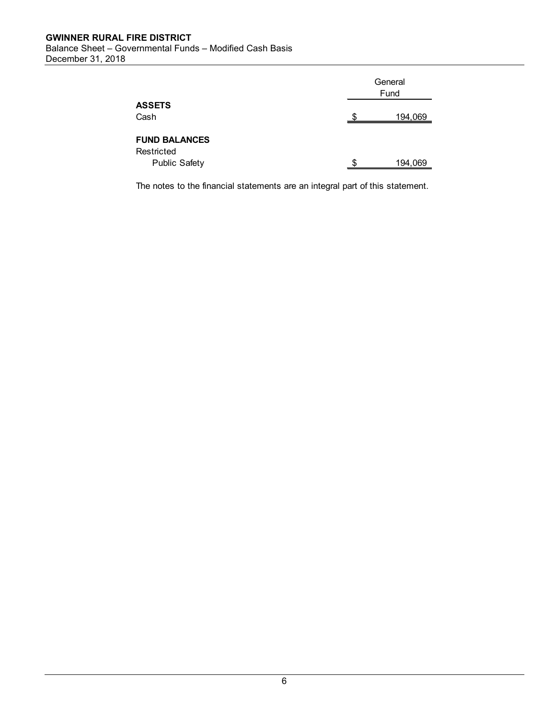<span id="page-7-0"></span>

|                      | General<br>Fund |  |  |  |
|----------------------|-----------------|--|--|--|
| <b>ASSETS</b>        |                 |  |  |  |
| Cash                 | 194,069         |  |  |  |
|                      |                 |  |  |  |
| <b>FUND BALANCES</b> |                 |  |  |  |
| Restricted           |                 |  |  |  |
| <b>Public Safety</b> | 194,069         |  |  |  |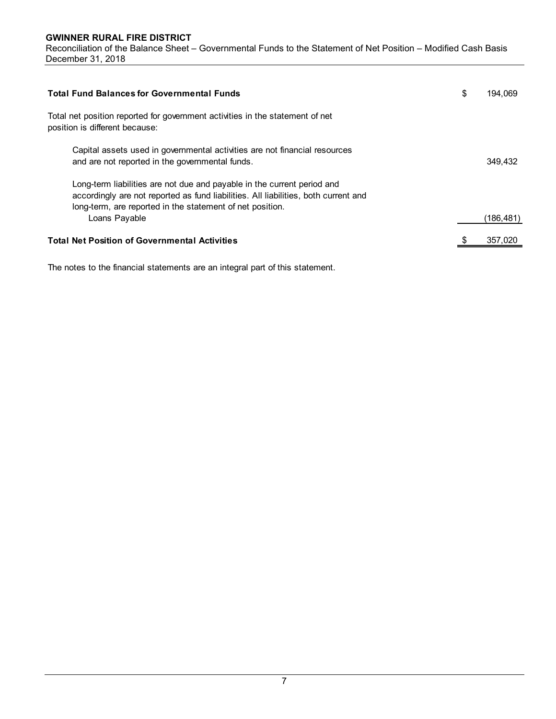<span id="page-8-0"></span>

| <b>Total Fund Balances for Governmental Funds</b>                                                                                                                                                                           | \$<br>194.069 |
|-----------------------------------------------------------------------------------------------------------------------------------------------------------------------------------------------------------------------------|---------------|
| Total net position reported for government activities in the statement of net<br>position is different because:                                                                                                             |               |
| Capital assets used in governmental activities are not financial resources<br>and are not reported in the governmental funds.                                                                                               | 349.432       |
| Long-term liabilities are not due and payable in the current period and<br>accordingly are not reported as fund liabilities. All liabilities, both current and<br>long-term, are reported in the statement of net position. |               |
| Loans Payable                                                                                                                                                                                                               | (186,481)     |
| <b>Total Net Position of Governmental Activities</b>                                                                                                                                                                        | 357,020       |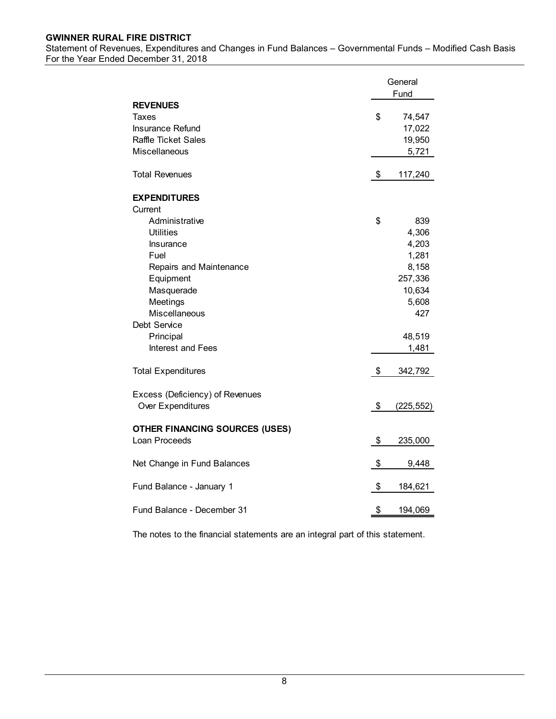#### <span id="page-9-0"></span>**GWINNER RURAL FIRE DISTRICT** Statement of Revenues, Expenditures and Changes in Fund Balances – Governmental Funds – Modified Cash Basis For the Year Ended December 31, 2018

|                                                                                                                                            | General<br>Fund                                                                    |
|--------------------------------------------------------------------------------------------------------------------------------------------|------------------------------------------------------------------------------------|
| <b>REVENUES</b><br>Taxes<br>Insurance Refund<br><b>Raffle Ticket Sales</b><br>Miscellaneous                                                | \$<br>74,547<br>17,022<br>19,950<br>5,721                                          |
| <b>Total Revenues</b>                                                                                                                      | \$<br>117,240                                                                      |
| <b>EXPENDITURES</b><br>Current                                                                                                             |                                                                                    |
| Administrative<br><b>Utilities</b><br>Insurance<br>Fuel<br>Repairs and Maintenance<br>Equipment<br>Masquerade<br>Meetings<br>Miscellaneous | \$<br>839<br>4,306<br>4,203<br>1,281<br>8,158<br>257,336<br>10,634<br>5,608<br>427 |
| Debt Service<br>Principal<br><b>Interest and Fees</b>                                                                                      | 48,519<br>1,481                                                                    |
| <b>Total Expenditures</b>                                                                                                                  | \$<br>342,792                                                                      |
| Excess (Deficiency) of Revenues<br>Over Expenditures                                                                                       | \$<br>(225, 552)                                                                   |
| <b>OTHER FINANCING SOURCES (USES)</b><br>Loan Proceeds                                                                                     | \$<br>235,000                                                                      |
| Net Change in Fund Balances                                                                                                                | \$<br>9,448                                                                        |
| Fund Balance - January 1                                                                                                                   | \$<br>184,621                                                                      |
| Fund Balance - December 31                                                                                                                 | \$<br>194,069                                                                      |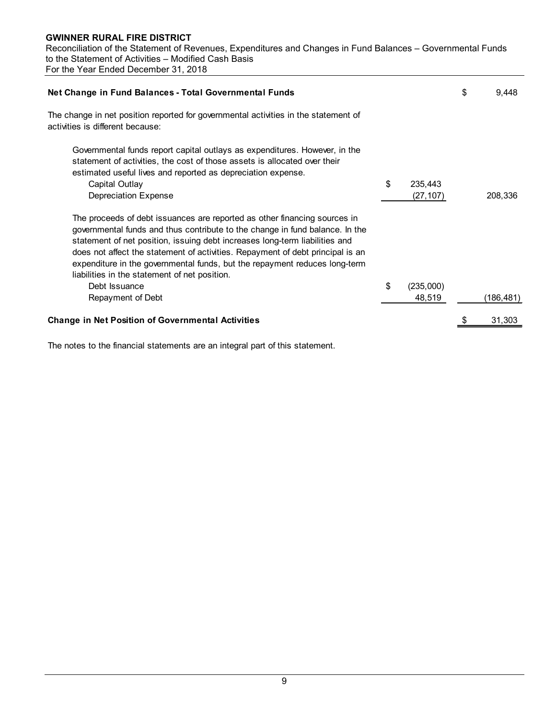<span id="page-10-0"></span>

| Net Change in Fund Balances - Total Governmental Funds                                                                                                                                                                                                                                                                                                                                                                                                    |                            | \$<br>9,448 |
|-----------------------------------------------------------------------------------------------------------------------------------------------------------------------------------------------------------------------------------------------------------------------------------------------------------------------------------------------------------------------------------------------------------------------------------------------------------|----------------------------|-------------|
| The change in net position reported for governmental activities in the statement of<br>activities is different because:                                                                                                                                                                                                                                                                                                                                   |                            |             |
| Governmental funds report capital outlays as expenditures. However, in the<br>statement of activities, the cost of those assets is allocated over their<br>estimated useful lives and reported as depreciation expense.<br>Capital Outlay<br>Depreciation Expense                                                                                                                                                                                         | \$<br>235,443<br>(27, 107) | 208,336     |
| The proceeds of debt issuances are reported as other financing sources in<br>governmental funds and thus contribute to the change in fund balance. In the<br>statement of net position, issuing debt increases long-term liabilities and<br>does not affect the statement of activities. Repayment of debt principal is an<br>expenditure in the governmental funds, but the repayment reduces long-term<br>liabilities in the statement of net position. |                            |             |
| Debt Issuance<br>Repayment of Debt                                                                                                                                                                                                                                                                                                                                                                                                                        | \$<br>(235,000)<br>48,519  | (186,481)   |
| <b>Change in Net Position of Governmental Activities</b>                                                                                                                                                                                                                                                                                                                                                                                                  |                            | 31,303      |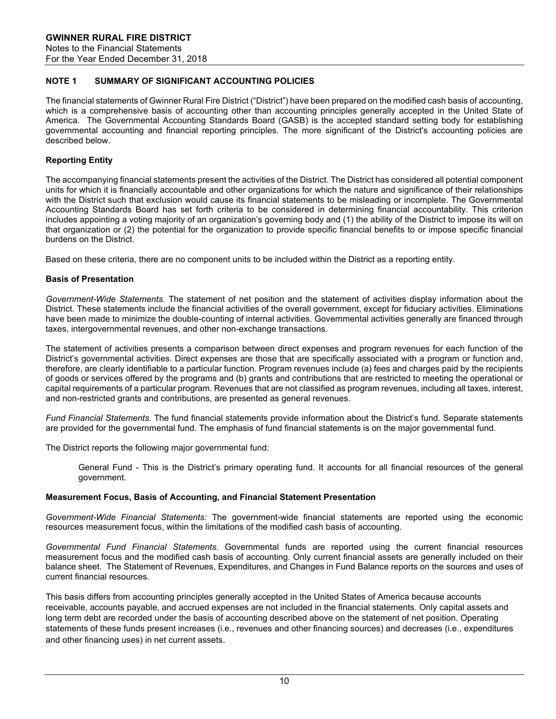#### <span id="page-11-0"></span>**NOTE 1 SUMMARY OF SIGNIFICANT ACCOUNTING POLICIES**

The financial statements of Gwinner Rural Fire District ("District") have been prepared on the modified cash basis of accounting, which is a comprehensive basis of accounting other than accounting principles generally accepted in the United State of America. The Governmental Accounting Standards Board (GASB) is the accepted standard setting body for establishing governmental accounting and financial reporting principles. The more significant of the District's accounting policies are described below.

#### **Reporting Entity**

The accompanying financial statements present the activities of the District. The District has considered all potential component units for which it is financially accountable and other organizations for which the nature and significance of their relationships with the District such that exclusion would cause its financial statements to be misleading or incomplete. The Governmental Accounting Standards Board has set forth criteria to be considered in determining financial accountability. This criterion includes appointing a voting majority of an organization's governing body and (1) the ability of the District to impose its will on that organization or (2) the potential for the organization to provide specific financial benefits to or impose specific financial burdens on the District.

Based on these criteria, there are no component units to be included within the District as a reporting entity.

#### **Basis of Presentation**

*Government-Wide Statements.* The statement of net position and the statement of activities display information about the District. These statements include the financial activities of the overall government, except for fiduciary activities. Eliminations have been made to minimize the double-counting of internal activities. Governmental activities generally are financed through taxes, intergovernmental revenues, and other non-exchange transactions.

The statement of activities presents a comparison between direct expenses and program revenues for each function of the District's governmental activities. Direct expenses are those that are specifically associated with a program or function and, therefore, are clearly identifiable to a particular function. Program revenues include (a) fees and charges paid by the recipients of goods or services offered by the programs and (b) grants and contributions that are restricted to meeting the operational or capital requirements of a particular program. Revenues that are not classified as program revenues, including all taxes, interest, and non-restricted grants and contributions, are presented as general revenues.

*Fund Financial Statements.* The fund financial statements provide information about the District's fund. Separate statements are provided for the governmental fund. The emphasis of fund financial statements is on the major governmental fund.

The District reports the following major governmental fund:

General Fund - This is the District's primary operating fund. It accounts for all financial resources of the general government.

#### **Measurement Focus, Basis of Accounting, and Financial Statement Presentation**

*Government-Wide Financial Statements:* The government-wide financial statements are reported using the economic resources measurement focus, within the limitations of the modified cash basis of accounting.

*Governmental Fund Financial Statements*. Governmental funds are reported using the current financial resources measurement focus and the modified cash basis of accounting. Only current financial assets are generally included on their balance sheet. The Statement of Revenues, Expenditures, and Changes in Fund Balance reports on the sources and uses of current financial resources.

This basis differs from accounting principles generally accepted in the United States of America because accounts receivable, accounts payable, and accrued expenses are not included in the financial statements. Only capital assets and long term debt are recorded under the basis of accounting described above on the statement of net position. Operating statements of these funds present increases (i.e., revenues and other financing sources) and decreases (i.e., expenditures and other financing uses) in net current assets.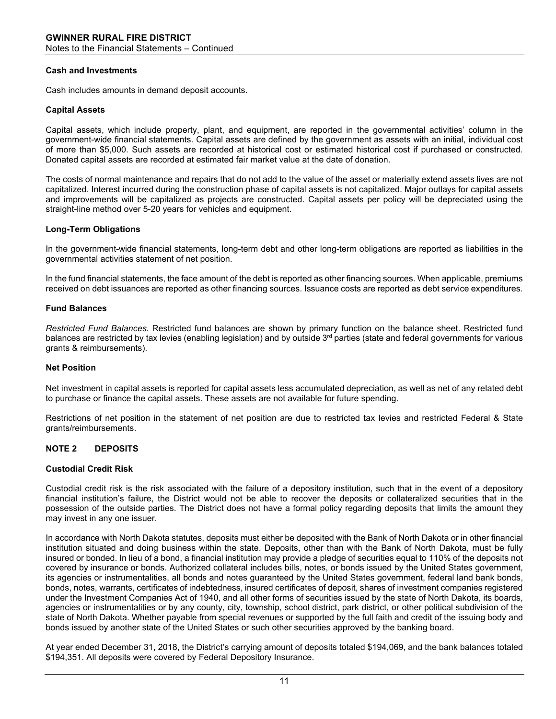#### **Cash and Investments**

Cash includes amounts in demand deposit accounts.

#### **Capital Assets**

Capital assets, which include property, plant, and equipment, are reported in the governmental activities' column in the government-wide financial statements. Capital assets are defined by the government as assets with an initial, individual cost of more than \$5,000. Such assets are recorded at historical cost or estimated historical cost if purchased or constructed. Donated capital assets are recorded at estimated fair market value at the date of donation.

The costs of normal maintenance and repairs that do not add to the value of the asset or materially extend assets lives are not capitalized. Interest incurred during the construction phase of capital assets is not capitalized. Major outlays for capital assets and improvements will be capitalized as projects are constructed. Capital assets per policy will be depreciated using the straight-line method over 5-20 years for vehicles and equipment.

#### **Long-Term Obligations**

In the government-wide financial statements, long-term debt and other long-term obligations are reported as liabilities in the governmental activities statement of net position.

In the fund financial statements, the face amount of the debt is reported as other financing sources. When applicable, premiums received on debt issuances are reported as other financing sources. Issuance costs are reported as debt service expenditures.

#### **Fund Balances**

*Restricted Fund Balances.* Restricted fund balances are shown by primary function on the balance sheet. Restricted fund balances are restricted by tax levies (enabling legislation) and by outside 3<sup>rd</sup> parties (state and federal governments for various grants & reimbursements).

#### **Net Position**

Net investment in capital assets is reported for capital assets less accumulated depreciation, as well as net of any related debt to purchase or finance the capital assets. These assets are not available for future spending.

Restrictions of net position in the statement of net position are due to restricted tax levies and restricted Federal & State grants/reimbursements.

#### **NOTE 2 DEPOSITS**

#### **Custodial Credit Risk**

Custodial credit risk is the risk associated with the failure of a depository institution, such that in the event of a depository financial institution's failure, the District would not be able to recover the deposits or collateralized securities that in the possession of the outside parties. The District does not have a formal policy regarding deposits that limits the amount they may invest in any one issuer.

In accordance with North Dakota statutes, deposits must either be deposited with the Bank of North Dakota or in other financial institution situated and doing business within the state. Deposits, other than with the Bank of North Dakota, must be fully insured or bonded. In lieu of a bond, a financial institution may provide a pledge of securities equal to 110% of the deposits not covered by insurance or bonds. Authorized collateral includes bills, notes, or bonds issued by the United States government, its agencies or instrumentalities, all bonds and notes guaranteed by the United States government, federal land bank bonds, bonds, notes, warrants, certificates of indebtedness, insured certificates of deposit, shares of investment companies registered under the Investment Companies Act of 1940, and all other forms of securities issued by the state of North Dakota, its boards, agencies or instrumentalities or by any county, city, township, school district, park district, or other political subdivision of the state of North Dakota. Whether payable from special revenues or supported by the full faith and credit of the issuing body and bonds issued by another state of the United States or such other securities approved by the banking board.

At year ended December 31, 2018, the District's carrying amount of deposits totaled \$194,069, and the bank balances totaled \$194,351. All deposits were covered by Federal Depository Insurance.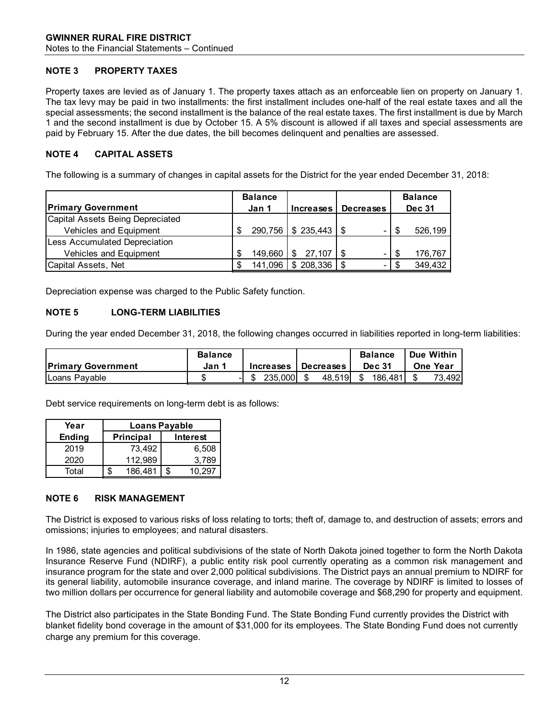# **NOTE 3 PROPERTY TAXES**

Property taxes are levied as of January 1. The property taxes attach as an enforceable lien on property on January 1. The tax levy may be paid in two installments: the first installment includes one-half of the real estate taxes and all the special assessments; the second installment is the balance of the real estate taxes. The first installment is due by March 1 and the second installment is due by October 15. A 5% discount is allowed if all taxes and special assessments are paid by February 15. After the due dates, the bill becomes delinquent and penalties are assessed.

# **NOTE 4 CAPITAL ASSETS**

The following is a summary of changes in capital assets for the District for the year ended December 31, 2018:

|                                      |   | <b>Balance</b> |                             |                  | <b>Balance</b> |
|--------------------------------------|---|----------------|-----------------------------|------------------|----------------|
| <b>Primary Government</b>            |   | Jan 1          | <b>Increases</b>            | <b>Decreases</b> | <b>Dec 31</b>  |
| Capital Assets Being Depreciated     |   |                |                             |                  |                |
| Vehicles and Equipment               |   |                | $290,756$   \$ 235,443   \$ |                  | 526,199        |
| <b>Less Accumulated Depreciation</b> |   |                |                             |                  |                |
| Vehicles and Equipment               | S | 149.660        | \$27,107                    | -                | 176,767        |
| Capital Assets, Net                  |   | 141,096        | \$208,336                   | -                | 349,432        |

Depreciation expense was charged to the Public Safety function.

# **NOTE 5 LONG-TERM LIABILITIES**

During the year ended December 31, 2018, the following changes occurred in liabilities reported in long-term liabilities:

|                           | <b>Balance</b> |                  |                  | <b>Balance</b> | <b>I</b> Due Within |
|---------------------------|----------------|------------------|------------------|----------------|---------------------|
| <b>Primary Government</b> | Jan 1          | <b>Increases</b> | <b>Decreases</b> | <b>Dec 31</b>  | <b>One Year</b>     |
| I Loans Pavable           | J.             | 235.000          | 48.519           | 186.481        | 73.4921             |

Debt service requirements on long-term debt is as follows:

| Year          | <b>Loans Payable</b> |           |  |          |
|---------------|----------------------|-----------|--|----------|
| <b>Ending</b> |                      | Principal |  | Interest |
| 2019          |                      | 73,492    |  | 6,508    |
| 2020          |                      | 112,989   |  | 3,789    |
| Total         |                      | 186,481   |  |          |

#### **NOTE 6 RISK MANAGEMENT**

The District is exposed to various risks of loss relating to torts; theft of, damage to, and destruction of assets; errors and omissions; injuries to employees; and natural disasters.

In 1986, state agencies and political subdivisions of the state of North Dakota joined together to form the North Dakota Insurance Reserve Fund (NDIRF), a public entity risk pool currently operating as a common risk management and insurance program for the state and over 2,000 political subdivisions. The District pays an annual premium to NDIRF for its general liability, automobile insurance coverage, and inland marine. The coverage by NDIRF is limited to losses of two million dollars per occurrence for general liability and automobile coverage and \$68,290 for property and equipment.

The District also participates in the State Bonding Fund. The State Bonding Fund currently provides the District with blanket fidelity bond coverage in the amount of \$31,000 for its employees. The State Bonding Fund does not currently charge any premium for this coverage.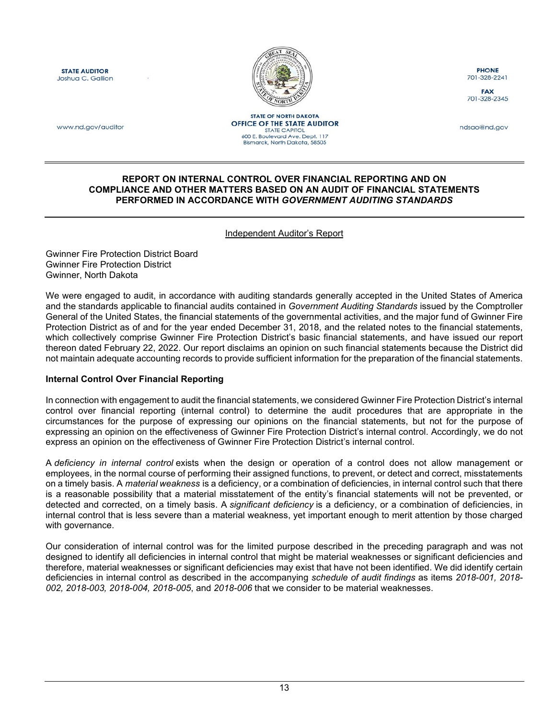<span id="page-14-1"></span>**STATE AUDITOR** Joshua C. Gallion



**PHONE** 701-328-2241

**FAX** 701-328-2345

www.nd.gov/auditor

**STATE OF NORTH DAKOTA OFFICE OF THE STATE AUDITOR STATE CAPITOL** 600 E. Boulevard Ave. Dept. 117<br>Bismarck, North Dakota, 58505

ndsao@nd.gov

#### <span id="page-14-0"></span>**REPORT ON INTERNAL CONTROL OVER FINANCIAL REPORTING AND ON COMPLIANCE AND OTHER MATTERS BASED ON AN AUDIT OF FINANCIAL STATEMENTS PERFORMED IN ACCORDANCE WITH** *GOVERNMENT AUDITING STANDARDS*

#### Independent Auditor's Report

Gwinner Fire Protection District Board Gwinner Fire Protection District Gwinner, North Dakota

We were engaged to audit, in accordance with auditing standards generally accepted in the United States of America and the standards applicable to financial audits contained in *Government Auditing Standards* issued by the Comptroller General of the United States, the financial statements of the governmental activities, and the major fund of Gwinner Fire Protection District as of and for the year ended December 31, 2018, and the related notes to the financial statements, which collectively comprise Gwinner Fire Protection District's basic financial statements, and have issued our report thereon dated February 22, 2022. Our report disclaims an opinion on such financial statements because the District did not maintain adequate accounting records to provide sufficient information for the preparation of the financial statements.

#### **Internal Control Over Financial Reporting**

In connection with engagement to audit the financial statements, we considered Gwinner Fire Protection District's internal control over financial reporting (internal control) to determine the audit procedures that are appropriate in the circumstances for the purpose of expressing our opinions on the financial statements, but not for the purpose of expressing an opinion on the effectiveness of Gwinner Fire Protection District's internal control. Accordingly, we do not express an opinion on the effectiveness of Gwinner Fire Protection District's internal control.

A *deficiency in internal control* exists when the design or operation of a control does not allow management or employees, in the normal course of performing their assigned functions, to prevent, or detect and correct, misstatements on a timely basis. A *material weakness* is a deficiency, or a combination of deficiencies, in internal control such that there is a reasonable possibility that a material misstatement of the entity's financial statements will not be prevented, or detected and corrected, on a timely basis. A *significant deficiency* is a deficiency, or a combination of deficiencies, in internal control that is less severe than a material weakness, yet important enough to merit attention by those charged with governance.

Our consideration of internal control was for the limited purpose described in the preceding paragraph and was not designed to identify all deficiencies in internal control that might be material weaknesses or significant deficiencies and therefore, material weaknesses or significant deficiencies may exist that have not been identified. We did identify certain deficiencies in internal control as described in the accompanying *schedule of audit findings* as items *2018-001, 2018- 002, 2018-003, 2018-004, 2018-005*, and *2018-006* that we consider to be material weaknesses.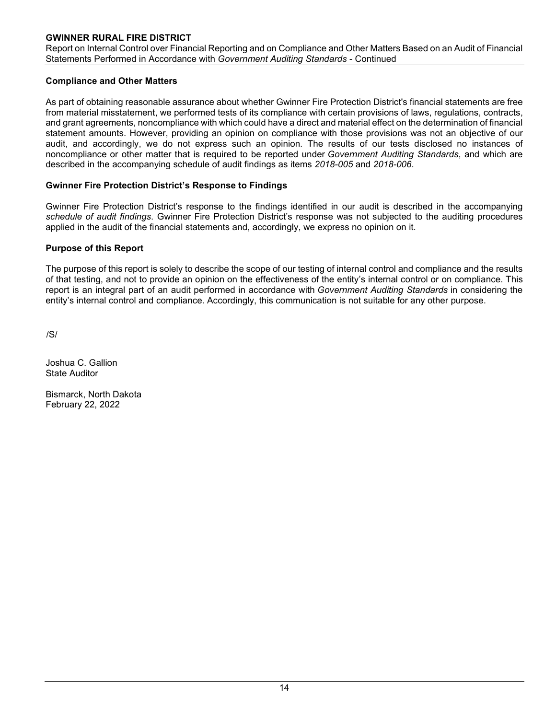# **GWINNER RURAL FIRE DISTRICT**

Report on Internal Control over Financial Reporting and on Compliance and Other Matters Based on an Audit of Financial Statements Performed in Accordance with *Government Auditing Standards* - Continued

#### **Compliance and Other Matters**

As part of obtaining reasonable assurance about whether Gwinner Fire Protection District's financial statements are free from material misstatement, we performed tests of its compliance with certain provisions of laws, regulations, contracts, and grant agreements, noncompliance with which could have a direct and material effect on the determination of financial statement amounts. However, providing an opinion on compliance with those provisions was not an objective of our audit, and accordingly, we do not express such an opinion. The results of our tests disclosed no instances of noncompliance or other matter that is required to be reported under *Government Auditing Standards*, and which are described in the accompanying schedule of audit findings as items *2018-005* and *2018-006*.

#### **Gwinner Fire Protection District's Response to Findings**

Gwinner Fire Protection District's response to the findings identified in our audit is described in the accompanying *schedule of audit findings*. Gwinner Fire Protection District's response was not subjected to the auditing procedures applied in the audit of the financial statements and, accordingly, we express no opinion on it.

#### **Purpose of this Report**

The purpose of this report is solely to describe the scope of our testing of internal control and compliance and the results of that testing, and not to provide an opinion on the effectiveness of the entity's internal control or on compliance. This report is an integral part of an audit performed in accordance with *Government Auditing Standards* in considering the entity's internal control and compliance. Accordingly, this communication is not suitable for any other purpose.

/S/

Joshua C. Gallion State Auditor

Bismarck, North Dakota February 22, 2022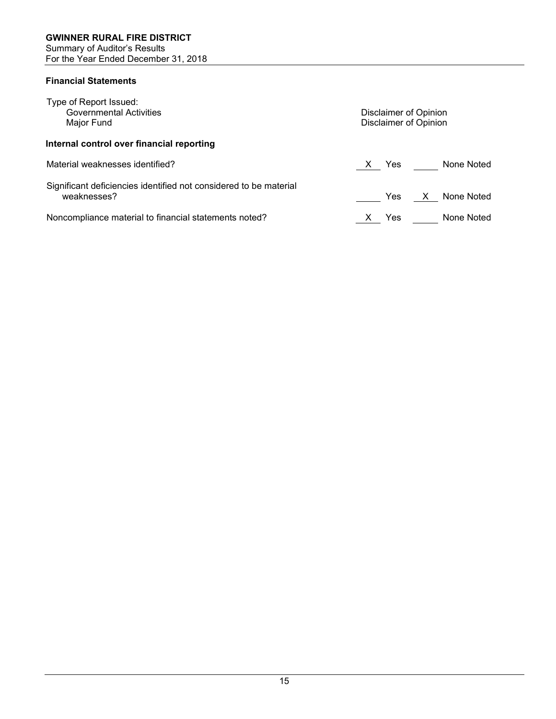# <span id="page-16-1"></span><span id="page-16-0"></span>**Financial Statements**

| Type of Report Issued:                                                           |                                   |  |  |  |  |  |
|----------------------------------------------------------------------------------|-----------------------------------|--|--|--|--|--|
| <b>Governmental Activities</b>                                                   | Disclaimer of Opinion             |  |  |  |  |  |
| Major Fund                                                                       | Disclaimer of Opinion             |  |  |  |  |  |
| Internal control over financial reporting                                        |                                   |  |  |  |  |  |
| Material weaknesses identified?                                                  | None Noted<br>Yes<br>$\mathsf{X}$ |  |  |  |  |  |
| Significant deficiencies identified not considered to be material<br>weaknesses? | None Noted<br>X<br>Yes            |  |  |  |  |  |
| Noncompliance material to financial statements noted?                            | None Noted<br>Yes                 |  |  |  |  |  |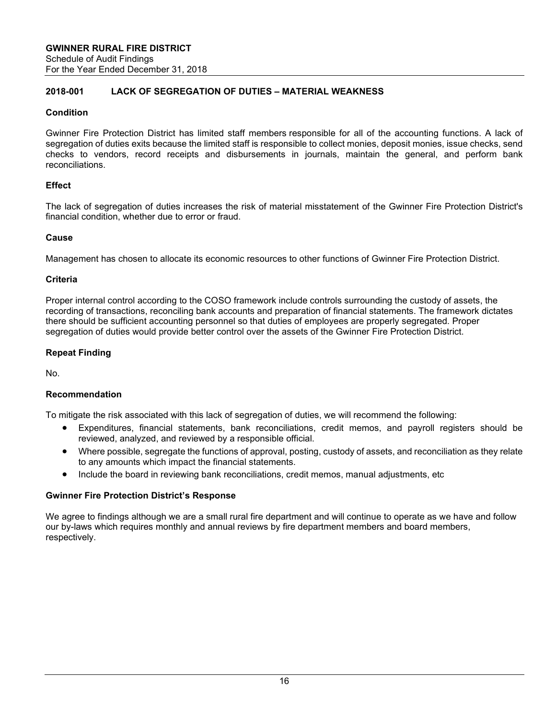# <span id="page-17-1"></span><span id="page-17-0"></span>**2018-001 LACK OF SEGREGATION OF DUTIES – MATERIAL WEAKNESS**

# **Condition**

Gwinner Fire Protection District has limited staff members responsible for all of the accounting functions. A lack of segregation of duties exits because the limited staff is responsible to collect monies, deposit monies, issue checks, send checks to vendors, record receipts and disbursements in journals, maintain the general, and perform bank reconciliations.

# **Effect**

The lack of segregation of duties increases the risk of material misstatement of the Gwinner Fire Protection District's financial condition, whether due to error or fraud.

#### **Cause**

Management has chosen to allocate its economic resources to other functions of Gwinner Fire Protection District.

#### **Criteria**

Proper internal control according to the COSO framework include controls surrounding the custody of assets, the recording of transactions, reconciling bank accounts and preparation of financial statements. The framework dictates there should be sufficient accounting personnel so that duties of employees are properly segregated. Proper segregation of duties would provide better control over the assets of the Gwinner Fire Protection District.

#### **Repeat Finding**

No.

#### **Recommendation**

To mitigate the risk associated with this lack of segregation of duties, we will recommend the following:

- Expenditures, financial statements, bank reconciliations, credit memos, and payroll registers should be reviewed, analyzed, and reviewed by a responsible official.
- Where possible, segregate the functions of approval, posting, custody of assets, and reconciliation as they relate to any amounts which impact the financial statements.
- Include the board in reviewing bank reconciliations, credit memos, manual adjustments, etc

#### **Gwinner Fire Protection District's Response**

We agree to findings although we are a small rural fire department and will continue to operate as we have and follow our by-laws which requires monthly and annual reviews by fire department members and board members, respectively.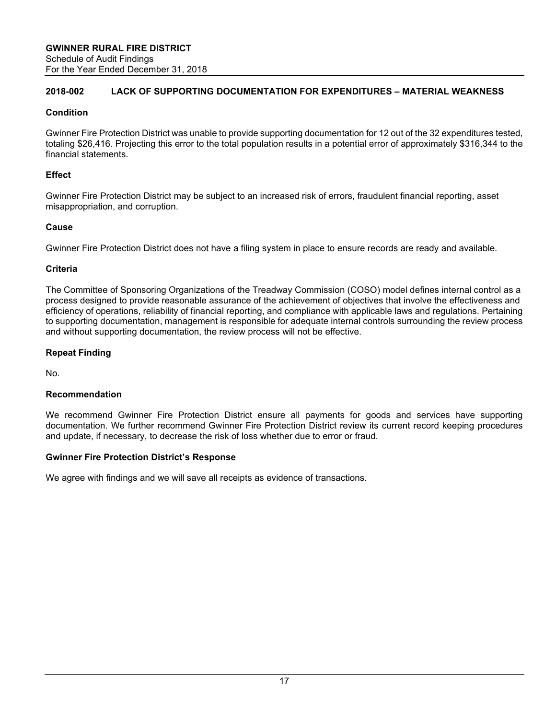### **2018-002 LACK OF SUPPORTING DOCUMENTATION FOR EXPENDITURES – MATERIAL WEAKNESS**

# **Condition**

Gwinner Fire Protection District was unable to provide supporting documentation for 12 out of the 32 expenditures tested, totaling \$26,416. Projecting this error to the total population results in a potential error of approximately \$316,344 to the financial statements.

# **Effect**

Gwinner Fire Protection District may be subject to an increased risk of errors, fraudulent financial reporting, asset misappropriation, and corruption.

# **Cause**

Gwinner Fire Protection District does not have a filing system in place to ensure records are ready and available.

# **Criteria**

The Committee of Sponsoring Organizations of the Treadway Commission (COSO) model defines internal control as a process designed to provide reasonable assurance of the achievement of objectives that involve the effectiveness and efficiency of operations, reliability of financial reporting, and compliance with applicable laws and regulations. Pertaining to supporting documentation, management is responsible for adequate internal controls surrounding the review process and without supporting documentation, the review process will not be effective.

# **Repeat Finding**

No.

# **Recommendation**

We recommend Gwinner Fire Protection District ensure all payments for goods and services have supporting documentation. We further recommend Gwinner Fire Protection District review its current record keeping procedures and update, if necessary, to decrease the risk of loss whether due to error or fraud.

#### **Gwinner Fire Protection District's Response**

We agree with findings and we will save all receipts as evidence of transactions.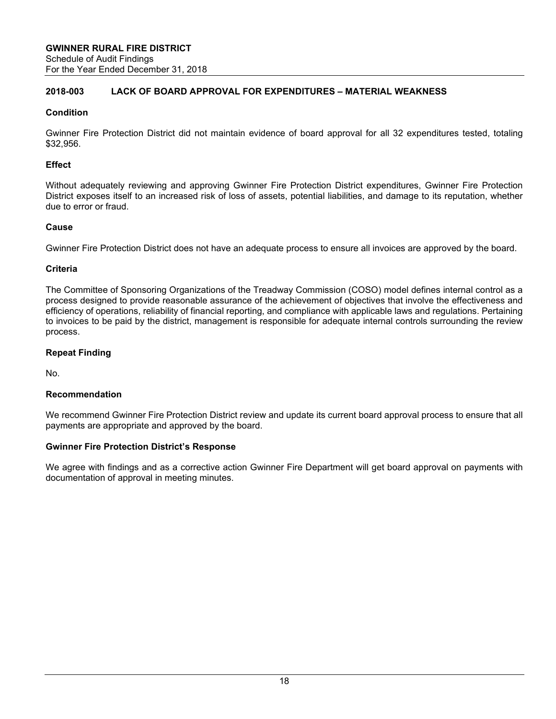# **2018-003 LACK OF BOARD APPROVAL FOR EXPENDITURES – MATERIAL WEAKNESS**

# **Condition**

Gwinner Fire Protection District did not maintain evidence of board approval for all 32 expenditures tested, totaling \$32,956.

# **Effect**

Without adequately reviewing and approving Gwinner Fire Protection District expenditures, Gwinner Fire Protection District exposes itself to an increased risk of loss of assets, potential liabilities, and damage to its reputation, whether due to error or fraud.

# **Cause**

Gwinner Fire Protection District does not have an adequate process to ensure all invoices are approved by the board.

#### **Criteria**

The Committee of Sponsoring Organizations of the Treadway Commission (COSO) model defines internal control as a process designed to provide reasonable assurance of the achievement of objectives that involve the effectiveness and efficiency of operations, reliability of financial reporting, and compliance with applicable laws and regulations. Pertaining to invoices to be paid by the district, management is responsible for adequate internal controls surrounding the review process.

# **Repeat Finding**

No.

#### **Recommendation**

We recommend Gwinner Fire Protection District review and update its current board approval process to ensure that all payments are appropriate and approved by the board.

#### **Gwinner Fire Protection District's Response**

We agree with findings and as a corrective action Gwinner Fire Department will get board approval on payments with documentation of approval in meeting minutes.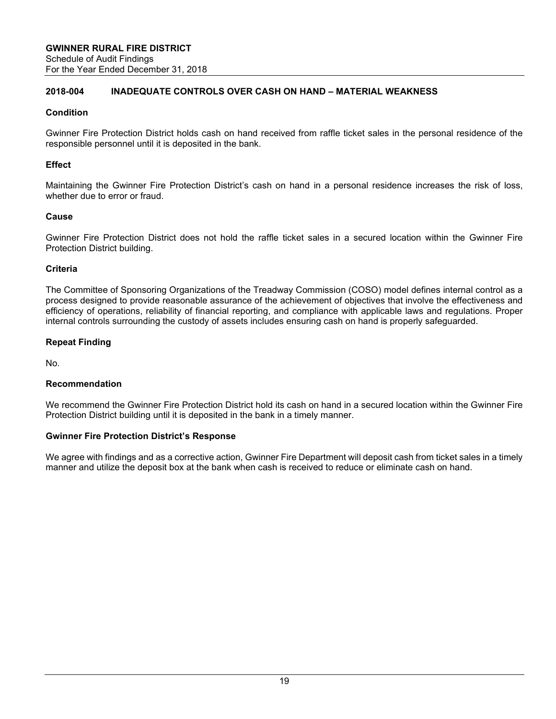#### **2018-004 INADEQUATE CONTROLS OVER CASH ON HAND – MATERIAL WEAKNESS**

#### **Condition**

Gwinner Fire Protection District holds cash on hand received from raffle ticket sales in the personal residence of the responsible personnel until it is deposited in the bank.

#### **Effect**

Maintaining the Gwinner Fire Protection District's cash on hand in a personal residence increases the risk of loss, whether due to error or fraud.

#### **Cause**

Gwinner Fire Protection District does not hold the raffle ticket sales in a secured location within the Gwinner Fire Protection District building.

#### **Criteria**

The Committee of Sponsoring Organizations of the Treadway Commission (COSO) model defines internal control as a process designed to provide reasonable assurance of the achievement of objectives that involve the effectiveness and efficiency of operations, reliability of financial reporting, and compliance with applicable laws and regulations. Proper internal controls surrounding the custody of assets includes ensuring cash on hand is properly safeguarded.

#### **Repeat Finding**

No.

#### **Recommendation**

We recommend the Gwinner Fire Protection District hold its cash on hand in a secured location within the Gwinner Fire Protection District building until it is deposited in the bank in a timely manner.

#### **Gwinner Fire Protection District's Response**

We agree with findings and as a corrective action, Gwinner Fire Department will deposit cash from ticket sales in a timely manner and utilize the deposit box at the bank when cash is received to reduce or eliminate cash on hand.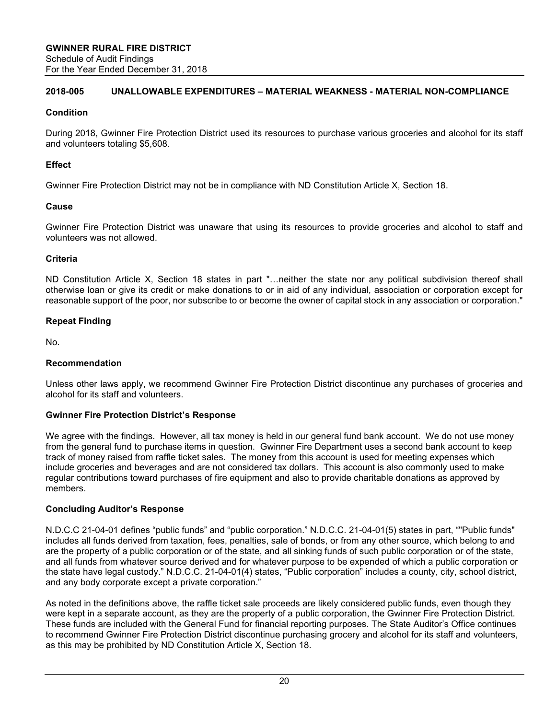#### **2018-005 UNALLOWABLE EXPENDITURES – MATERIAL WEAKNESS - MATERIAL NON-COMPLIANCE**

# **Condition**

During 2018, Gwinner Fire Protection District used its resources to purchase various groceries and alcohol for its staff and volunteers totaling \$5,608.

# **Effect**

Gwinner Fire Protection District may not be in compliance with ND Constitution Article X, Section 18.

#### **Cause**

Gwinner Fire Protection District was unaware that using its resources to provide groceries and alcohol to staff and volunteers was not allowed.

# **Criteria**

ND Constitution Article X, Section 18 states in part "…neither the state nor any political subdivision thereof shall otherwise loan or give its credit or make donations to or in aid of any individual, association or corporation except for reasonable support of the poor, nor subscribe to or become the owner of capital stock in any association or corporation."

# **Repeat Finding**

No.

# **Recommendation**

Unless other laws apply, we recommend Gwinner Fire Protection District discontinue any purchases of groceries and alcohol for its staff and volunteers.

#### **Gwinner Fire Protection District's Response**

We agree with the findings. However, all tax money is held in our general fund bank account. We do not use money from the general fund to purchase items in question. Gwinner Fire Department uses a second bank account to keep track of money raised from raffle ticket sales. The money from this account is used for meeting expenses which include groceries and beverages and are not considered tax dollars. This account is also commonly used to make regular contributions toward purchases of fire equipment and also to provide charitable donations as approved by members.

#### **Concluding Auditor's Response**

N.D.C.C 21-04-01 defines "public funds" and "public corporation." N.D.C.C. 21-04-01(5) states in part, ""Public funds" includes all funds derived from taxation, fees, penalties, sale of bonds, or from any other source, which belong to and are the property of a public corporation or of the state, and all sinking funds of such public corporation or of the state, and all funds from whatever source derived and for whatever purpose to be expended of which a public corporation or the state have legal custody." N.D.C.C. 21-04-01(4) states, "Public corporation" includes a county, city, school district, and any body corporate except a private corporation."

As noted in the definitions above, the raffle ticket sale proceeds are likely considered public funds, even though they were kept in a separate account, as they are the property of a public corporation, the Gwinner Fire Protection District. These funds are included with the General Fund for financial reporting purposes. The State Auditor's Office continues to recommend Gwinner Fire Protection District discontinue purchasing grocery and alcohol for its staff and volunteers, as this may be prohibited by ND Constitution Article X, Section 18.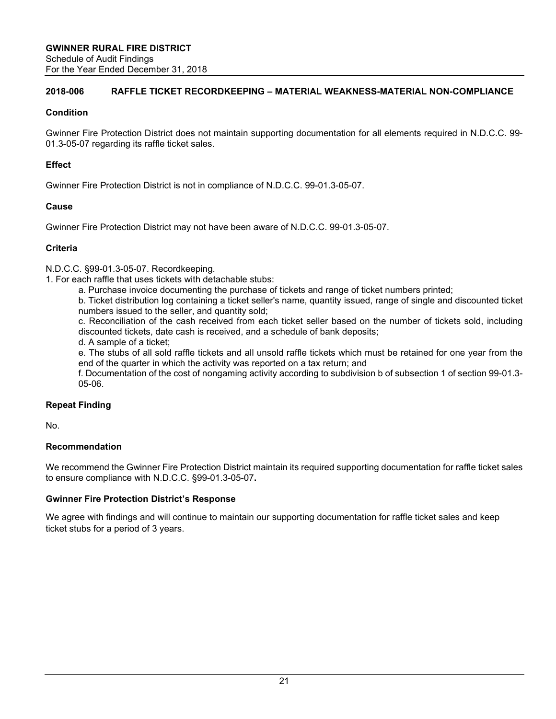### **2018-006 RAFFLE TICKET RECORDKEEPING – MATERIAL WEAKNESS-MATERIAL NON-COMPLIANCE**

#### **Condition**

Gwinner Fire Protection District does not maintain supporting documentation for all elements required in N.D.C.C. 99- 01.3-05-07 regarding its raffle ticket sales.

#### **Effect**

Gwinner Fire Protection District is not in compliance of N.D.C.C. 99-01.3-05-07.

#### **Cause**

Gwinner Fire Protection District may not have been aware of N.D.C.C. 99-01.3-05-07.

#### **Criteria**

N.D.C.C. §99-01.3-05-07. Recordkeeping.

1. For each raffle that uses tickets with detachable stubs:

a. Purchase invoice documenting the purchase of tickets and range of ticket numbers printed;

b. Ticket distribution log containing a ticket seller's name, quantity issued, range of single and discounted ticket numbers issued to the seller, and quantity sold;

c. Reconciliation of the cash received from each ticket seller based on the number of tickets sold, including discounted tickets, date cash is received, and a schedule of bank deposits;

d. A sample of a ticket;

e. The stubs of all sold raffle tickets and all unsold raffle tickets which must be retained for one year from the end of the quarter in which the activity was reported on a tax return; and

f. Documentation of the cost of nongaming activity according to subdivision b of subsection 1 of section 99-01.3- 05-06.

#### **Repeat Finding**

No.

# **Recommendation**

We recommend the Gwinner Fire Protection District maintain its required supporting documentation for raffle ticket sales to ensure compliance with N.D.C.C. §99-01.3-05-07**.** 

#### **Gwinner Fire Protection District's Response**

We agree with findings and will continue to maintain our supporting documentation for raffle ticket sales and keep ticket stubs for a period of 3 years.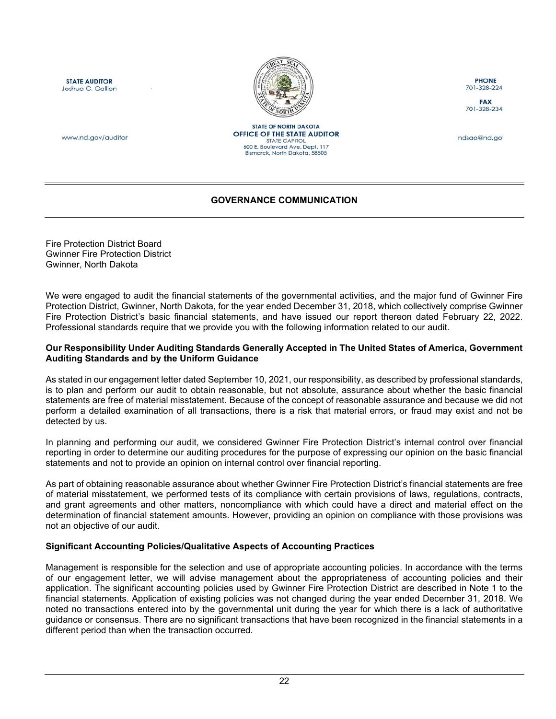<span id="page-23-1"></span>**STATE AUDITOR** Joshua C. Gallion



**STATE OF NORTH DAKOTA** OFFICE OF THE STATE AUDITOR

STATE CAPITOL<br>600 E. Boulevard Ave. Dept. 117 Bismarck, North Dakota, 58505

**PHONE** 701-328-224

**FAX** 701-328-234

ndsao@nd.ao

www.nd.gov/auditor

# **GOVERNANCE COMMUNICATION**

<span id="page-23-0"></span>Fire Protection District Board Gwinner Fire Protection District Gwinner, North Dakota

We were engaged to audit the financial statements of the governmental activities, and the major fund of Gwinner Fire Protection District, Gwinner, North Dakota, for the year ended December 31, 2018, which collectively comprise Gwinner Fire Protection District's basic financial statements, and have issued our report thereon dated February 22, 2022. Professional standards require that we provide you with the following information related to our audit.

#### **Our Responsibility Under Auditing Standards Generally Accepted in The United States of America, Government Auditing Standards and by the Uniform Guidance**

As stated in our engagement letter dated September 10, 2021, our responsibility, as described by professional standards, is to plan and perform our audit to obtain reasonable, but not absolute, assurance about whether the basic financial statements are free of material misstatement. Because of the concept of reasonable assurance and because we did not perform a detailed examination of all transactions, there is a risk that material errors, or fraud may exist and not be detected by us.

In planning and performing our audit, we considered Gwinner Fire Protection District's internal control over financial reporting in order to determine our auditing procedures for the purpose of expressing our opinion on the basic financial statements and not to provide an opinion on internal control over financial reporting.

As part of obtaining reasonable assurance about whether Gwinner Fire Protection District's financial statements are free of material misstatement, we performed tests of its compliance with certain provisions of laws, regulations, contracts, and grant agreements and other matters, noncompliance with which could have a direct and material effect on the determination of financial statement amounts. However, providing an opinion on compliance with those provisions was not an objective of our audit.

#### **Significant Accounting Policies/Qualitative Aspects of Accounting Practices**

Management is responsible for the selection and use of appropriate accounting policies. In accordance with the terms of our engagement letter, we will advise management about the appropriateness of accounting policies and their application. The significant accounting policies used by Gwinner Fire Protection District are described in Note 1 to the financial statements. Application of existing policies was not changed during the year ended December 31, 2018. We noted no transactions entered into by the governmental unit during the year for which there is a lack of authoritative guidance or consensus. There are no significant transactions that have been recognized in the financial statements in a different period than when the transaction occurred.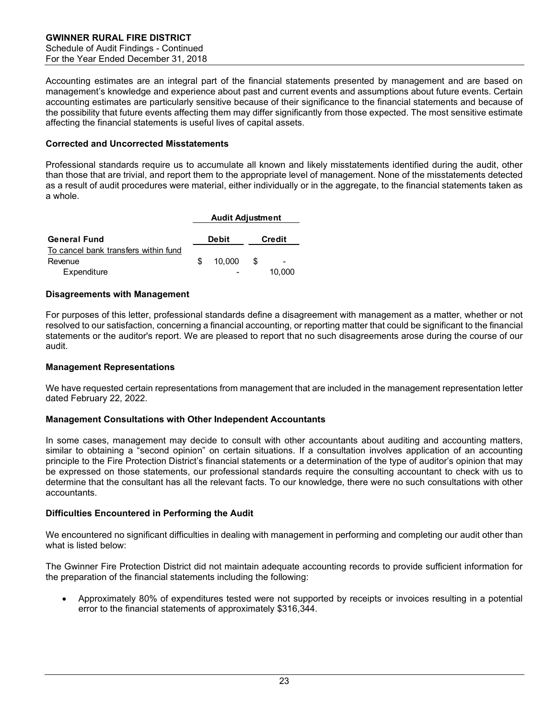Accounting estimates are an integral part of the financial statements presented by management and are based on management's knowledge and experience about past and current events and assumptions about future events. Certain accounting estimates are particularly sensitive because of their significance to the financial statements and because of the possibility that future events affecting them may differ significantly from those expected. The most sensitive estimate affecting the financial statements is useful lives of capital assets.

#### **Corrected and Uncorrected Misstatements**

Professional standards require us to accumulate all known and likely misstatements identified during the audit, other than those that are trivial, and report them to the appropriate level of management. None of the misstatements detected as a result of audit procedures were material, either individually or in the aggregate, to the financial statements taken as a whole.

|                                      |    | <b>Audit Adjustment</b> |    |        |
|--------------------------------------|----|-------------------------|----|--------|
| <b>General Fund</b>                  |    | <b>Debit</b>            |    | Credit |
| To cancel bank transfers within fund |    |                         |    |        |
| Revenue                              | £. | 10.000                  | £. |        |
| Expenditure                          |    |                         |    | 10.000 |

#### **Disagreements with Management**

For purposes of this letter, professional standards define a disagreement with management as a matter, whether or not resolved to our satisfaction, concerning a financial accounting, or reporting matter that could be significant to the financial statements or the auditor's report. We are pleased to report that no such disagreements arose during the course of our audit.

#### **Management Representations**

We have requested certain representations from management that are included in the management representation letter dated February 22, 2022.

#### **Management Consultations with Other Independent Accountants**

In some cases, management may decide to consult with other accountants about auditing and accounting matters, similar to obtaining a "second opinion" on certain situations. If a consultation involves application of an accounting principle to the Fire Protection District's financial statements or a determination of the type of auditor's opinion that may be expressed on those statements, our professional standards require the consulting accountant to check with us to determine that the consultant has all the relevant facts. To our knowledge, there were no such consultations with other accountants.

#### **Difficulties Encountered in Performing the Audit**

We encountered no significant difficulties in dealing with management in performing and completing our audit other than what is listed below:

The Gwinner Fire Protection District did not maintain adequate accounting records to provide sufficient information for the preparation of the financial statements including the following:

• Approximately 80% of expenditures tested were not supported by receipts or invoices resulting in a potential error to the financial statements of approximately \$316,344.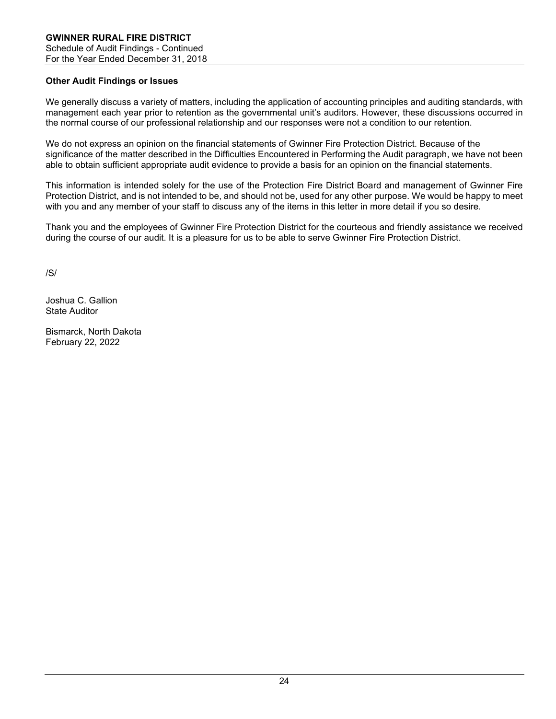# **Other Audit Findings or Issues**

We generally discuss a variety of matters, including the application of accounting principles and auditing standards, with management each year prior to retention as the governmental unit's auditors. However, these discussions occurred in the normal course of our professional relationship and our responses were not a condition to our retention.

We do not express an opinion on the financial statements of Gwinner Fire Protection District. Because of the significance of the matter described in the Difficulties Encountered in Performing the Audit paragraph, we have not been able to obtain sufficient appropriate audit evidence to provide a basis for an opinion on the financial statements.

This information is intended solely for the use of the Protection Fire District Board and management of Gwinner Fire Protection District, and is not intended to be, and should not be, used for any other purpose. We would be happy to meet with you and any member of your staff to discuss any of the items in this letter in more detail if you so desire.

Thank you and the employees of Gwinner Fire Protection District for the courteous and friendly assistance we received during the course of our audit. It is a pleasure for us to be able to serve Gwinner Fire Protection District.

/S/

Joshua C. Gallion State Auditor

Bismarck, North Dakota February 22, 2022